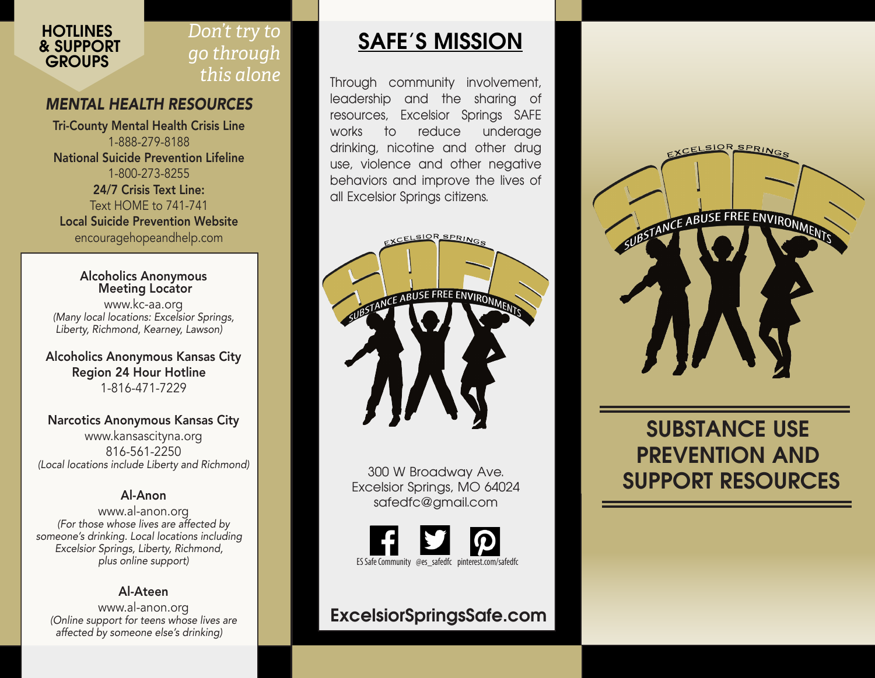

## *Don't try to go through this alone*

### *MENTAL HEALTH RESOURCES*

Tri-County Mental Health Crisis Line 1-888-279-8188 National Suicide Prevention Lifeline 1-800-273-8255 24/7 Crisis Text Line: Text HOME to 741-741 Local Suicide Prevention Website encouragehopeandhelp.com

Alcoholics Anonymous Meeting Locator www.kc-aa.org *(Many local locations: Excelsior Springs, Liberty, Richmond, Kearney, Lawson)*

Alcoholics Anonymous Kansas City Region 24 Hour Hotline 1-816-471-7229

#### Narcotics Anonymous Kansas City

www.kansascityna.org 816-561-2250 *(Local locations include Liberty and Richmond)*

### Al-Anon

www.al-anon.org *(For those whose lives are affected by someone's drinking. Local locations including Excelsior Springs, Liberty, Richmond, plus online support)*

### Al-Ateen

www.al-anon.org *(Online support for teens whose lives are affected by someone else's drinking)*

## **SAFE'S MISSION**

Through community involvement, leadership and the sharing of resources, Excelsior Springs SAFE works to reduce underage drinking, nicotine and other drug use, violence and other negative behaviors and improve the lives of all Excelsior Springs citizens.



300 W Broadway Ave. Excelsior Springs, MO 64024 safedfc@gmail.com



## **ExcelsiorSpringsSafe.com**



## **SUBSTANCE USE PREVENTION AND SUPPORT RESOURCES**